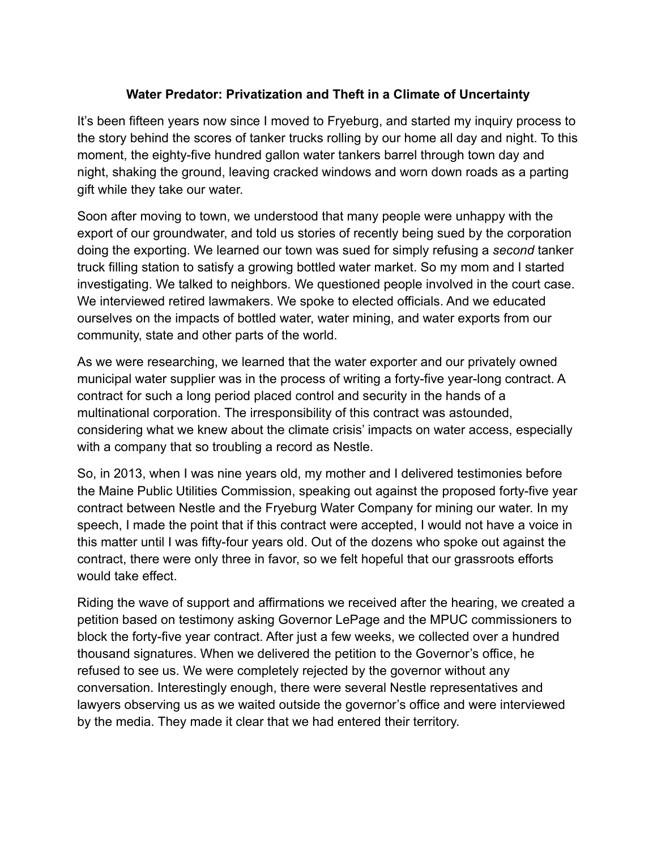## **Water Predator: Privatization and Theft in a Climate of Uncertainty**

It's been fifteen years now since I moved to Fryeburg, and started my inquiry process to the story behind the scores of tanker trucks rolling by our home all day and night. To this moment, the eighty-five hundred gallon water tankers barrel through town day and night, shaking the ground, leaving cracked windows and worn down roads as a parting gift while they take our water.

Soon after moving to town, we understood that many people were unhappy with the export of our groundwater, and told us stories of recently being sued by the corporation doing the exporting. We learned our town was sued for simply refusing a *second* tanker truck filling station to satisfy a growing bottled water market. So my mom and I started investigating. We talked to neighbors. We questioned people involved in the court case. We interviewed retired lawmakers. We spoke to elected officials. And we educated ourselves on the impacts of bottled water, water mining, and water exports from our community, state and other parts of the world.

As we were researching, we learned that the water exporter and our privately owned municipal water supplier was in the process of writing a forty-five year-long contract. A contract for such a long period placed control and security in the hands of a multinational corporation. The irresponsibility of this contract was astounded, considering what we knew about the climate crisis' impacts on water access, especially with a company that so troubling a record as Nestle.

So, in 2013, when I was nine years old, my mother and I delivered testimonies before the Maine Public Utilities Commission, speaking out against the proposed forty-five year contract between Nestle and the Fryeburg Water Company for mining our water. In my speech, I made the point that if this contract were accepted, I would not have a voice in this matter until I was fifty-four years old. Out of the dozens who spoke out against the contract, there were only three in favor, so we felt hopeful that our grassroots efforts would take effect.

Riding the wave of support and affirmations we received after the hearing, we created a petition based on testimony asking Governor LePage and the MPUC commissioners to block the forty-five year contract. After just a few weeks, we collected over a hundred thousand signatures. When we delivered the petition to the Governor's office, he refused to see us. We were completely rejected by the governor without any conversation. Interestingly enough, there were several Nestle representatives and lawyers observing us as we waited outside the governor's office and were interviewed by the media. They made it clear that we had entered their territory.